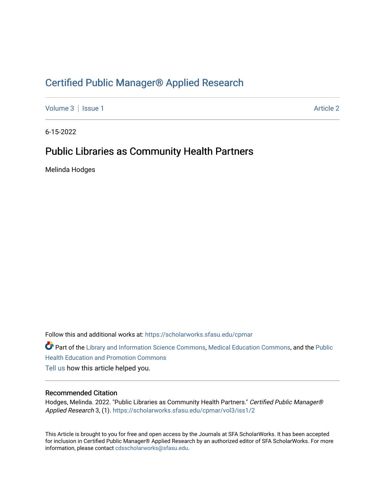# [Certified Public Manager® Applied Research](https://scholarworks.sfasu.edu/cpmar)

[Volume 3](https://scholarworks.sfasu.edu/cpmar/vol3) | [Issue 1](https://scholarworks.sfasu.edu/cpmar/vol3/iss1) Article 2

6-15-2022

# Public Libraries as Community Health Partners

Melinda Hodges

Follow this and additional works at: [https://scholarworks.sfasu.edu/cpmar](https://scholarworks.sfasu.edu/cpmar?utm_source=scholarworks.sfasu.edu%2Fcpmar%2Fvol3%2Fiss1%2F2&utm_medium=PDF&utm_campaign=PDFCoverPages) 

Part of the [Library and Information Science Commons,](https://network.bepress.com/hgg/discipline/1018?utm_source=scholarworks.sfasu.edu%2Fcpmar%2Fvol3%2Fiss1%2F2&utm_medium=PDF&utm_campaign=PDFCoverPages) [Medical Education Commons,](https://network.bepress.com/hgg/discipline/1125?utm_source=scholarworks.sfasu.edu%2Fcpmar%2Fvol3%2Fiss1%2F2&utm_medium=PDF&utm_campaign=PDFCoverPages) and the Public [Health Education and Promotion Commons](https://network.bepress.com/hgg/discipline/743?utm_source=scholarworks.sfasu.edu%2Fcpmar%2Fvol3%2Fiss1%2F2&utm_medium=PDF&utm_campaign=PDFCoverPages) 

[Tell us](http://sfasu.qualtrics.com/SE/?SID=SV_0qS6tdXftDLradv) how this article helped you.

### Recommended Citation

Hodges, Melinda. 2022. "Public Libraries as Community Health Partners." Certified Public Manager® Applied Research 3, (1). [https://scholarworks.sfasu.edu/cpmar/vol3/iss1/2](https://scholarworks.sfasu.edu/cpmar/vol3/iss1/2?utm_source=scholarworks.sfasu.edu%2Fcpmar%2Fvol3%2Fiss1%2F2&utm_medium=PDF&utm_campaign=PDFCoverPages) 

This Article is brought to you for free and open access by the Journals at SFA ScholarWorks. It has been accepted for inclusion in Certified Public Manager® Applied Research by an authorized editor of SFA ScholarWorks. For more information, please contact [cdsscholarworks@sfasu.edu](mailto:cdsscholarworks@sfasu.edu).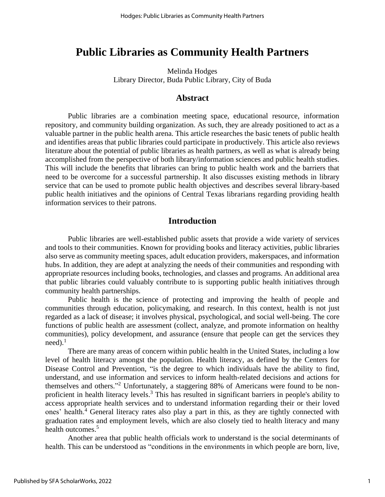# **Public Libraries as Community Health Partners**

Melinda Hodges Library Director, Buda Public Library, City of Buda

## **Abstract**

Public libraries are a combination meeting space, educational resource, information repository, and community building organization. As such, they are already positioned to act as a valuable partner in the public health arena. This article researches the basic tenets of public health and identifies areas that public libraries could participate in productively. This article also reviews literature about the potential of public libraries as health partners, as well as what is already being accomplished from the perspective of both library/information sciences and public health studies. This will include the benefits that libraries can bring to public health work and the barriers that need to be overcome for a successful partnership. It also discusses existing methods in library service that can be used to promote public health objectives and describes several library-based public health initiatives and the opinions of Central Texas librarians regarding providing health information services to their patrons.

## **Introduction**

Public libraries are well-established public assets that provide a wide variety of services and tools to their communities. Known for providing books and literacy activities, public libraries also serve as community meeting spaces, adult education providers, makerspaces, and information hubs. In addition, they are adept at analyzing the needs of their communities and responding with appropriate resources including books, technologies, and classes and programs. An additional area that public libraries could valuably contribute to is supporting public health initiatives through community health partnerships.

Public health is the science of protecting and improving the health of people and communities through education, policymaking, and research. In this context, health is not just regarded as a lack of disease; it involves physical, psychological, and social well-being. The core functions of public health are assessment (collect, analyze, and promote information on healthy communities), policy development, and assurance (ensure that people can get the services they  $need$ ).<sup>1</sup>

There are many areas of concern within public health in the United States, including a low level of health literacy amongst the population. Health literacy, as defined by the Centers for Disease Control and Prevention, "is the degree to which individuals have the ability to find, understand, and use information and services to inform health-related decisions and actions for themselves and others."<sup>2</sup> Unfortunately, a staggering 88% of Americans were found to be nonproficient in health literacy levels.<sup>3</sup> This has resulted in significant barriers in people's ability to access appropriate health services and to understand information regarding their or their loved ones' health.<sup>4</sup> General literacy rates also play a part in this, as they are tightly connected with graduation rates and employment levels, which are also closely tied to health literacy and many health outcomes.<sup>5</sup>

Another area that public health officials work to understand is the social determinants of health. This can be understood as "conditions in the environments in which people are born, live,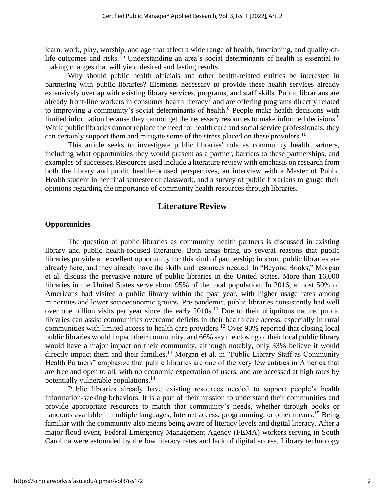learn, work, play, worship, and age that affect a wide range of health, functioning, and quality-oflife outcomes and risks."<sup>6</sup> Understanding an area's social determinants of health is essential to making changes that will yield desired and lasting results.

Why should public health officials and other health-related entities be interested in partnering with public libraries? Elements necessary to provide these health services already extensively overlap with existing library services, programs, and staff skills. Public librarians are already front-line workers in consumer health literacy<sup>7</sup> and are offering programs directly related to improving a community's social determinants of health.<sup>8</sup> People make health decisions with limited information because they cannot get the necessary resources to make informed decisions.<sup>9</sup> While public libraries cannot replace the need for health care and social service professionals, they can certainly support them and mitigate some of the stress placed on these providers.<sup>10</sup>

This article seeks to investigate public libraries' role as community health partners, including what opportunities they would present as a partner, barriers to these partnerships, and examples of successes. Resources used include a literature review with emphasis on research from both the library and public health-focused perspectives, an interview with a Master of Public Health student in her final semester of classwork, and a survey of public librarians to gauge their opinions regarding the importance of community health resources through libraries.

# **Literature Review**

### **Opportunities**

The question of public libraries as community health partners is discussed in existing library and public health-focused literature. Both areas bring up several reasons that public libraries provide an excellent opportunity for this kind of partnership; in short, public libraries are already here, and they already have the skills and resources needed. In "Beyond Books," Morgan et al. discuss the pervasive nature of public libraries in the United States. More than 16,000 libraries in the United States serve about 95% of the total population. In 2016, almost 50% of Americans had visited a public library within the past year, with higher usage rates among minorities and lower socioeconomic groups. Pre-pandemic, public libraries consistently had well over one billion visits per year since the early  $2010s$ .<sup>11</sup> Due to their ubiquitous nature, public libraries can assist communities overcome deficits in their health care access, especially in rural communities with limited access to health care providers.<sup>12</sup> Over 90% reported that closing local public libraries would impact their community, and 66% say the closing of their local public library would have a major impact on their community, although notably, only 33% believe it would directly impact them and their families.<sup>13</sup> Morgan et al. in "Public Library Staff as Community Health Partners" emphasize that public libraries are one of the very few entities in America that are free and open to all, with no economic expectation of users, and are accessed at high rates by potentially vulnerable populations.<sup>14</sup>

Public libraries already have existing resources needed to support people's health information-seeking behaviors. It is a part of their mission to understand their communities and provide appropriate resources to match that community's needs, whether through books or handouts available in multiple languages, Internet access, programming, or other means.<sup>15</sup> Being familiar with the community also means being aware of literacy levels and digital literacy. After a major flood event, Federal Emergency Management Agency (FEMA) workers serving in South Carolina were astounded by the low literacy rates and lack of digital access. Library technology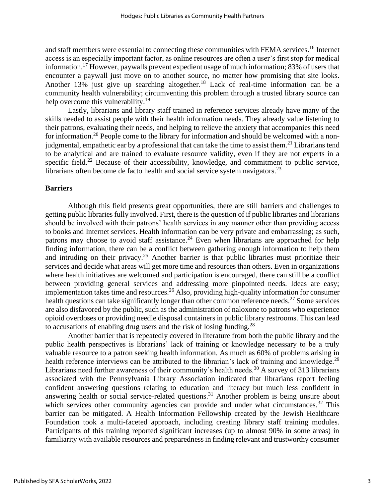and staff members were essential to connecting these communities with FEMA services.<sup>16</sup> Internet access is an especially important factor, as online resources are often a user's first stop for medical information.<sup>17</sup> However, paywalls prevent expedient usage of much information; 83% of users that encounter a paywall just move on to another source, no matter how promising that site looks. Another 13% just give up searching altogether.<sup>18</sup> Lack of real-time information can be a community health vulnerability; circumventing this problem through a trusted library source can help overcome this vulnerability.<sup>19</sup>

Lastly, librarians and library staff trained in reference services already have many of the skills needed to assist people with their health information needs. They already value listening to their patrons, evaluating their needs, and helping to relieve the anxiety that accompanies this need for information.<sup>20</sup> People come to the library for information and should be welcomed with a nonjudgmental, empathetic ear by a professional that can take the time to assist them.<sup>21</sup> Librarians tend to be analytical and are trained to evaluate resource validity, even if they are not experts in a specific field.<sup>22</sup> Because of their accessibility, knowledge, and commitment to public service, librarians often become de facto health and social service system navigators.<sup>23</sup>

#### **Barriers**

Although this field presents great opportunities, there are still barriers and challenges to getting public libraries fully involved. First, there is the question of if public libraries and librarians should be involved with their patrons' health services in any manner other than providing access to books and Internet services. Health information can be very private and embarrassing; as such, patrons may choose to avoid staff assistance.<sup>24</sup> Even when librarians are approached for help finding information, there can be a conflict between gathering enough information to help them and intruding on their privacy.<sup>25</sup> Another barrier is that public libraries must prioritize their services and decide what areas will get more time and resources than others. Even in organizations where health initiatives are welcomed and participation is encouraged, there can still be a conflict between providing general services and addressing more pinpointed needs. Ideas are easy; implementation takes time and resources.<sup>26</sup> Also, providing high-quality information for consumer health questions can take significantly longer than other common reference needs.<sup>27</sup> Some services are also disfavored by the public, such as the administration of naloxone to patrons who experience opioid overdoses or providing needle disposal containers in public library restrooms. This can lead to accusations of enabling drug users and the risk of losing funding.<sup>28</sup>

Another barrier that is repeatedly covered in literature from both the public library and the public health perspectives is librarians' lack of training or knowledge necessary to be a truly valuable resource to a patron seeking health information. As much as 60% of problems arising in health reference interviews can be attributed to the librarian's lack of training and knowledge.<sup>29</sup> Librarians need further awareness of their community's health needs.<sup>30</sup> A survey of 313 librarians associated with the Pennsylvania Library Association indicated that librarians report feeling confident answering questions relating to education and literacy but much less confident in answering health or social service-related questions.<sup>31</sup> Another problem is being unsure about which services other community agencies can provide and under what circumstances.<sup>32</sup> This barrier can be mitigated. A Health Information Fellowship created by the Jewish Healthcare Foundation took a multi-faceted approach, including creating library staff training modules. Participants of this training reported significant increases (up to almost 90% in some areas) in familiarity with available resources and preparedness in finding relevant and trustworthy consumer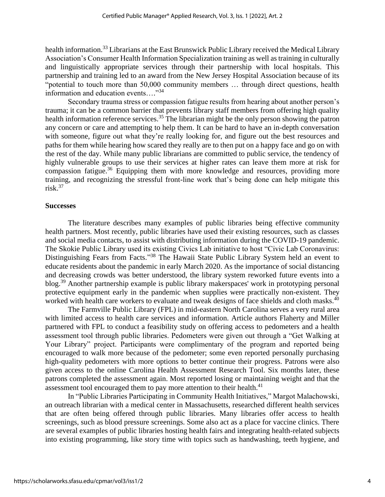health information.<sup>33</sup> Librarians at the East Brunswick Public Library received the Medical Library Association's Consumer Health Information Specialization training as well astraining in culturally and linguistically appropriate services through their partnership with local hospitals. This partnership and training led to an award from the New Jersey Hospital Association because of its "potential to touch more than 50,000 community members … through direct questions, health information and education events…." 34

Secondary trauma stress or compassion fatigue results from hearing about another person's trauma; it can be a common barrier that prevents library staff members from offering high quality health information reference services.<sup>35</sup> The librarian might be the only person showing the patron any concern or care and attempting to help them. It can be hard to have an in-depth conversation with someone, figure out what they're really looking for, and figure out the best resources and paths for them while hearing how scared they really are to then put on a happy face and go on with the rest of the day. While many public librarians are committed to public service, the tendency of highly vulnerable groups to use their services at higher rates can leave them more at risk for compassion fatigue.<sup>36</sup> Equipping them with more knowledge and resources, providing more training, and recognizing the stressful front-line work that's being done can help mitigate this  $risk<sup>37</sup>$ 

#### **Successes**

The literature describes many examples of public libraries being effective community health partners. Most recently, public libraries have used their existing resources, such as classes and social media contacts, to assist with distributing information during the COVID-19 pandemic. The Skokie Public Library used its existing Civics Lab initiative to host "Civic Lab Coronavirus: Distinguishing Fears from Facts."<sup>38</sup> The Hawaii State Public Library System held an event to educate residents about the pandemic in early March 2020. As the importance of social distancing and decreasing crowds was better understood, the library system reworked future events into a blog.<sup>39</sup> Another partnership example is public library makerspaces' work in prototyping personal protective equipment early in the pandemic when supplies were practically non-existent. They worked with health care workers to evaluate and tweak designs of face shields and cloth masks.<sup>40</sup>

The Farmville Public Library (FPL) in mid-eastern North Carolina serves a very rural area with limited access to health care services and information. Article authors Flaherty and Miller partnered with FPL to conduct a feasibility study on offering access to pedometers and a health assessment tool through public libraries. Pedometers were given out through a "Get Walking at Your Library" project. Participants were complimentary of the program and reported being encouraged to walk more because of the pedometer; some even reported personally purchasing high-quality pedometers with more options to better continue their progress. Patrons were also given access to the online Carolina Health Assessment Research Tool. Six months later, these patrons completed the assessment again. Most reported losing or maintaining weight and that the assessment tool encouraged them to pay more attention to their health.<sup>41</sup>

In "Public Libraries Participating in Community Health Initiatives," Margot Malachowski, an outreach librarian with a medical center in Massachusetts, researched different health services that are often being offered through public libraries. Many libraries offer access to health screenings, such as blood pressure screenings. Some also act as a place for vaccine clinics. There are several examples of public libraries hosting health fairs and integrating health-related subjects into existing programming, like story time with topics such as handwashing, teeth hygiene, and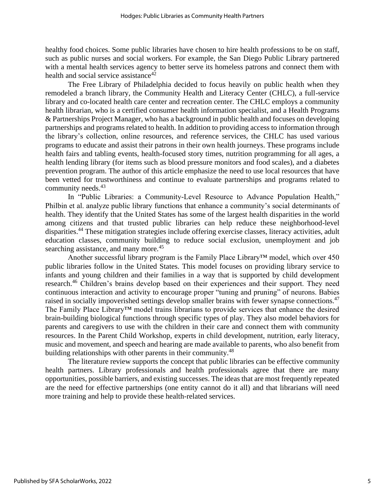healthy food choices. Some public libraries have chosen to hire health professions to be on staff, such as public nurses and social workers. For example, the San Diego Public Library partnered with a mental health services agency to better serve its homeless patrons and connect them with health and social service assistance<sup>42</sup>

The Free Library of Philadelphia decided to focus heavily on public health when they remodeled a branch library, the Community Health and Literacy Center (CHLC), a full-service library and co-located health care center and recreation center. The CHLC employs a community health librarian, who is a certified consumer health information specialist, and a Health Programs & Partnerships Project Manager, who has a background in public health and focuses on developing partnerships and programs related to health. In addition to providing access to information through the library's collection, online resources, and reference services, the CHLC has used various programs to educate and assist their patrons in their own health journeys. These programs include health fairs and tabling events, health-focused story times, nutrition programming for all ages, a health lending library (for items such as blood pressure monitors and food scales), and a diabetes prevention program. The author of this article emphasize the need to use local resources that have been vetted for trustworthiness and continue to evaluate partnerships and programs related to community needs. 43

In "Public Libraries: a Community-Level Resource to Advance Population Health," Philbin et al. analyze public library functions that enhance a community's social determinants of health. They identify that the United States has some of the largest health disparities in the world among citizens and that trusted public libraries can help reduce these neighborhood-level disparities.<sup>44</sup> These mitigation strategies include offering exercise classes, literacy activities, adult education classes, community building to reduce social exclusion, unemployment and job searching assistance, and many more.<sup>45</sup>

Another successful library program is the Family Place Library™ model, which over 450 public libraries follow in the United States. This model focuses on providing library service to infants and young children and their families in a way that is supported by child development research.<sup>46</sup> Children's brains develop based on their experiences and their support. They need continuous interaction and activity to encourage proper "tuning and pruning" of neurons. Babies raised in socially impoverished settings develop smaller brains with fewer synapse connections.<sup>47</sup> The Family Place Library™ model trains librarians to provide services that enhance the desired brain-building biological functions through specific types of play. They also model behaviors for parents and caregivers to use with the children in their care and connect them with community resources. In the Parent Child Workshop, experts in child development, nutrition, early literacy, music and movement, and speech and hearing are made available to parents, who also benefit from building relationships with other parents in their community.<sup>48</sup>

The literature review supports the concept that public libraries can be effective community health partners. Library professionals and health professionals agree that there are many opportunities, possible barriers, and existing successes. The ideas that are most frequently repeated are the need for effective partnerships (one entity cannot do it all) and that librarians will need more training and help to provide these health-related services.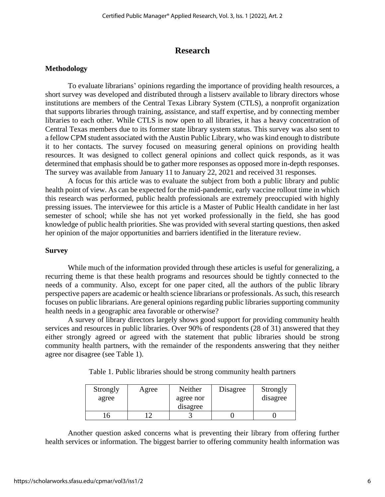# **Research**

## **Methodology**

To evaluate librarians' opinions regarding the importance of providing health resources, a short survey was developed and distributed through a listserv available to library directors whose institutions are members of the Central Texas Library System (CTLS), a nonprofit organization that supports libraries through training, assistance, and staff expertise, and by connecting member libraries to each other. While CTLS is now open to all libraries, it has a heavy concentration of Central Texas members due to its former state library system status. This survey was also sent to a fellow CPM student associated with the Austin Public Library, who was kind enough to distribute it to her contacts. The survey focused on measuring general opinions on providing health resources. It was designed to collect general opinions and collect quick responds, as it was determined that emphasis should be to gather more responses as opposed more in-depth responses. The survey was available from January 11 to January 22, 2021 and received 31 responses.

A focus for this article was to evaluate the subject from both a public library and public health point of view. As can be expected for the mid-pandemic, early vaccine rollout time in which this research was performed, public health professionals are extremely preoccupied with highly pressing issues. The interviewee for this article is a Master of Public Health candidate in her last semester of school; while she has not yet worked professionally in the field, she has good knowledge of public health priorities. She was provided with several starting questions, then asked her opinion of the major opportunities and barriers identified in the literature review.

### **Survey**

While much of the information provided through these articles is useful for generalizing, a recurring theme is that these health programs and resources should be tightly connected to the needs of a community. Also, except for one paper cited, all the authors of the public library perspective papers are academic or health science librarians or professionals. As such, this research focuses on public librarians. Are general opinions regarding public libraries supporting community health needs in a geographic area favorable or otherwise?

A survey of library directors largely shows good support for providing community health services and resources in public libraries. Over 90% of respondents (28 of 31) answered that they either strongly agreed or agreed with the statement that public libraries should be strong community health partners, with the remainder of the respondents answering that they neither agree nor disagree (see Table 1).

| Strongly<br>agree | Agree | Neither<br>agree nor<br>disagree | Disagree | Strongly<br>disagree |
|-------------------|-------|----------------------------------|----------|----------------------|
|                   |       |                                  |          |                      |

Table 1. Public libraries should be strong community health partners

Another question asked concerns what is preventing their library from offering further health services or information. The biggest barrier to offering community health information was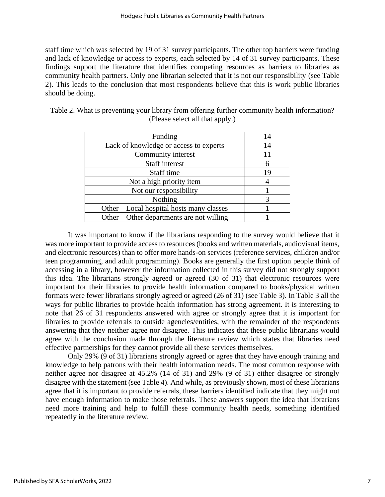staff time which was selected by 19 of 31 survey participants. The other top barriers were funding and lack of knowledge or access to experts, each selected by 14 of 31 survey participants. These findings support the literature that identifies competing resources as barriers to libraries as community health partners. Only one librarian selected that it is not our responsibility (see Table 2). This leads to the conclusion that most respondents believe that this is work public libraries should be doing.

| Funding                                   | 14 |
|-------------------------------------------|----|
| Lack of knowledge or access to experts    | 14 |
| Community interest                        |    |
| Staff interest                            |    |
| Staff time                                | 19 |
| Not a high priority item                  |    |
| Not our responsibility                    |    |
| Nothing                                   |    |
| Other – Local hospital hosts many classes |    |
| Other – Other departments are not willing |    |

|  |  |                                 |  | Table 2. What is preventing your library from offering further community health information? |
|--|--|---------------------------------|--|----------------------------------------------------------------------------------------------|
|  |  | (Please select all that apply.) |  |                                                                                              |

It was important to know if the librarians responding to the survey would believe that it was more important to provide access to resources (books and written materials, audiovisual items, and electronic resources) than to offer more hands-on services (reference services, children and/or teen programming, and adult programming). Books are generally the first option people think of accessing in a library, however the information collected in this survey did not strongly support this idea. The librarians strongly agreed or agreed (30 of 31) that electronic resources were important for their libraries to provide health information compared to books/physical written formats were fewer librarians strongly agreed or agreed (26 of 31) (see Table 3). In Table 3 all the ways for public libraries to provide health information has strong agreement. It is interesting to note that 26 of 31 respondents answered with agree or strongly agree that it is important for libraries to provide referrals to outside agencies/entities, with the remainder of the respondents answering that they neither agree nor disagree. This indicates that these public librarians would agree with the conclusion made through the literature review which states that libraries need effective partnerships for they cannot provide all these services themselves.

Only 29% (9 of 31) librarians strongly agreed or agree that they have enough training and knowledge to help patrons with their health information needs. The most common response with neither agree nor disagree at 45.2% (14 of 31) and 29% (9 of 31) either disagree or strongly disagree with the statement (see Table 4). And while, as previously shown, most of these librarians agree that it is important to provide referrals, these barriers identified indicate that they might not have enough information to make those referrals. These answers support the idea that librarians need more training and help to fulfill these community health needs, something identified repeatedly in the literature review.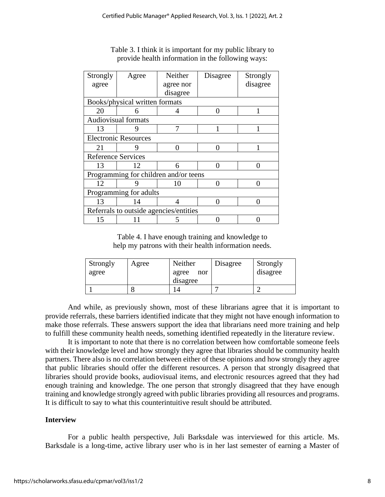| Strongly                               | Agree | Neither   | Disagree          | Strongly |  |  |  |
|----------------------------------------|-------|-----------|-------------------|----------|--|--|--|
| agree                                  |       | agree nor |                   | disagree |  |  |  |
|                                        |       | disagree  |                   |          |  |  |  |
| Books/physical written formats         |       |           |                   |          |  |  |  |
| 20                                     | 6     |           |                   |          |  |  |  |
| <b>Audiovisual formats</b>             |       |           |                   |          |  |  |  |
| 13                                     |       | 7         |                   |          |  |  |  |
| <b>Electronic Resources</b>            |       |           |                   |          |  |  |  |
| 21                                     | Q     | ∩<br>∩    |                   |          |  |  |  |
| <b>Reference Services</b>              |       |           |                   |          |  |  |  |
| 13                                     | 12    | 6         | $\mathbf{\Omega}$ |          |  |  |  |
| Programming for children and/or teens  |       |           |                   |          |  |  |  |
| 12                                     | g     | 10        |                   | ∩        |  |  |  |
| Programming for adults                 |       |           |                   |          |  |  |  |
| 13                                     | 14    | ∩         |                   |          |  |  |  |
| Referrals to outside agencies/entities |       |           |                   |          |  |  |  |
| 15                                     |       | 5         |                   |          |  |  |  |

Table 3. I think it is important for my public library to provide health information in the following ways:

Table 4. I have enough training and knowledge to help my patrons with their health information needs.

| Strongly<br>agree | Agree | Neither<br>agree<br>nor | Disagree | Strongly<br>disagree |
|-------------------|-------|-------------------------|----------|----------------------|
|                   |       | disagree                |          |                      |
|                   |       |                         |          |                      |

And while, as previously shown, most of these librarians agree that it is important to provide referrals, these barriers identified indicate that they might not have enough information to make those referrals. These answers support the idea that librarians need more training and help to fulfill these community health needs, something identified repeatedly in the literature review.

It is important to note that there is no correlation between how comfortable someone feels with their knowledge level and how strongly they agree that libraries should be community health partners. There also is no correlation between either of these opinions and how strongly they agree that public libraries should offer the different resources. A person that strongly disagreed that libraries should provide books, audiovisual items, and electronic resources agreed that they had enough training and knowledge. The one person that strongly disagreed that they have enough training and knowledge strongly agreed with public libraries providing all resources and programs. It is difficult to say to what this counterintuitive result should be attributed.

# **Interview**

For a public health perspective, Juli Barksdale was interviewed for this article. Ms. Barksdale is a long-time, active library user who is in her last semester of earning a Master of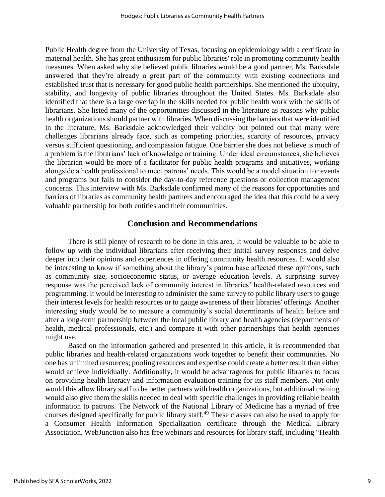Public Health degree from the University of Texas, focusing on epidemiology with a certificate in maternal health. She has great enthusiasm for public libraries' role in promoting community health measures. When asked why she believed public libraries would be a good partner, Ms. Barksdale answered that they're already a great part of the community with existing connections and established trust that is necessary for good public health partnerships. She mentioned the ubiquity, stability, and longevity of public libraries throughout the United States. Ms. Barksdale also identified that there is a large overlap in the skills needed for public health work with the skills of librarians. She listed many of the opportunities discussed in the literature as reasons why public health organizations should partner with libraries. When discussing the barriers that were identified in the literature, Ms. Barksdale acknowledged their validity but pointed out that many were challenges librarians already face, such as competing priorities, scarcity of resources, privacy versus sufficient questioning, and compassion fatigue. One barrier she does not believe is much of a problem is the librarians' lack of knowledge or training. Under ideal circumstances, she believes the librarian would be more of a facilitator for public health programs and initiatives, working alongside a health professional to meet patrons' needs. This would be a model situation for events and programs but fails to consider the day-to-day reference questions or collection management concerns. This interview with Ms. Barksdale confirmed many of the reasons for opportunities and barriers of libraries as community health partners and encouraged the idea that this could be a very valuable partnership for both entities and their communities.

# **Conclusion and Recommendations**

There is still plenty of research to be done in this area. It would be valuable to be able to follow up with the individual librarians after receiving their initial survey responses and delve deeper into their opinions and experiences in offering community health resources. It would also be interesting to know if something about the library's patron base affected these opinions, such as community size, socioeconomic status, or average education levels. A surprising survey response was the perceived lack of community interest in libraries' health-related resources and programming. It would be interesting to administer the same survey to public library users to gauge their interest levels for health resources or to gauge awareness of their libraries' offerings. Another interesting study would be to measure a community's social determinants of health before and after a long-term partnership between the local public library and health agencies (departments of health, medical professionals, etc.) and compare it with other partnerships that health agencies might use.

Based on the information gathered and presented in this article, it is recommended that public libraries and health-related organizations work together to benefit their communities. No one has unlimited resources; pooling resources and expertise could create a better result than either would achieve individually. Additionally, it would be advantageous for public libraries to focus on providing health literacy and information evaluation training for its staff members. Not only would this allow library staff to be better partners with health organizations, but additional training would also give them the skills needed to deal with specific challenges in providing reliable health information to patrons. The Network of the National Library of Medicine has a myriad of free courses designed specifically for public library staff.<sup>49</sup> These classes can also be used to apply for a Consumer Health Information Specialization certificate through the Medical Library Association. WebJunction also has free webinars and resources for library staff, including "Health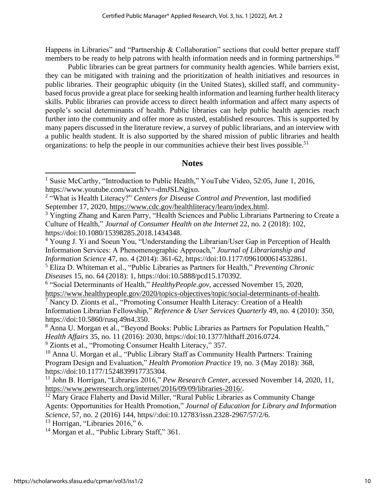Happens in Libraries" and "Partnership & Collaboration" sections that could better prepare staff members to be ready to help patrons with health information needs and in forming partnerships.<sup>50</sup>

Public libraries can be great partners for community health agencies. While barriers exist, they can be mitigated with training and the prioritization of health initiatives and resources in public libraries. Their geographic ubiquity (in the United States), skilled staff, and communitybased focus provide a great place for seeking health information and learning further health literacy skills. Public libraries can provide access to direct health information and affect many aspects of people's social determinants of health. Public libraries can help public health agencies reach further into the community and offer more as trusted, established resources. This is supported by many papers discussed in the literature review, a survey of public librarians, and an interview with a public health student. It is also supported by the shared mission of public libraries and health organizations: to help the people in our communities achieve their best lives possible.<sup>51</sup>

# **Notes**

<sup>1</sup> Susie McCarthy, "Introduction to Public Health," YouTube Video*,* 52:05, June 1, 2016, https://www.youtube.com/watch?v=-dmJSLNgjxo.

<sup>2</sup> "What is Health Literacy?" *Centers for Disease Control and Prevention*, last modified September 17, 2020, [https://www.cdc.gov/healthliteracy/learn/index.html.](https://www.cdc.gov/healthliteracy/learn/index.html)

<sup>&</sup>lt;sup>3</sup> Yingting Zhang and Karen Parry, "Health Sciences and Public Librarians Partnering to Create a Culture of Health," *Journal of Consumer Health on the Internet* 22, no. 2 (2018): 102, https://doi:10.1080/15398285.2018.1434348.

<sup>&</sup>lt;sup>4</sup> Young J. Yi and Soeun You, "Understanding the Librarian/User Gap in Perception of Health Information Services: A Phenomenographic Approach," *Journal of Librarianship and Information Science* 47, no. 4 (2014): 361-62, https://doi:10.1177/0961000614532861.

<sup>5</sup> Eliza D. Whiteman et al., "Public Libraries as Partners for Health," *Preventing Chronic Diseases* 15, no. 64 (2018): 1, https://doi:10.5888/pcd15.170392.

<sup>&</sup>lt;sup>6</sup> "Social Determinants of Health," *HealthyPeople.gov*, accessed November 15, 2020,

<https://www.healthypeople.gov/2020/topics-objectives/topic/social-determinants-of-health>*.*

<sup>7</sup> Nancy D. Zionts et al., "Promoting Consumer Health Literacy: Creation of a Health Information Librarian Fellowship," *Reference & User Services Quarterly* 49, no. 4 (2010): 350, https://doi:10.5860/rusq.49n4.350.

<sup>&</sup>lt;sup>8</sup> Anna U. Morgan et al., "Beyond Books: Public Libraries as Partners for Population Health," *Health Affairs* 35, no. 11 (2016): 2030, https://doi:10.1377/hlthaff.2016.0724.

<sup>&</sup>lt;sup>9</sup> Zionts et al., "Promoting Consumer Health Literacy," 357.

<sup>&</sup>lt;sup>10</sup> Anna U. Morgan et al., "Public Library Staff as Community Health Partners: Training Program Design and Evaluation," *Health Promotion Practice* 19, no. 3 (May 2018): 368, https://doi:10.1177/1524839917735304.

<sup>11</sup> John B. Horrigan, "Libraries 2016," *Pew Research Center,* accessed November 14, 2020, 11, [https://www.pewresearch.org/internet/2016/09/09/libraries-2016/.](https://www.pewresearch.org/internet/2016/09/09/libraries-2016/)

<sup>&</sup>lt;sup>12</sup> Mary Grace Flaherty and David Miller, "Rural Public Libraries as Community Change Agents: Opportunities for Health Promotion," *Journal of Education for Library and Information Science,* 57, no. 2 (2016) 144, https//:doi:10.12783/issn.2328-2967/57/2/6.

 $13$  Horrigan, "Libraries 2016," 6.

<sup>&</sup>lt;sup>14</sup> Morgan et al., "Public Library Staff," 361.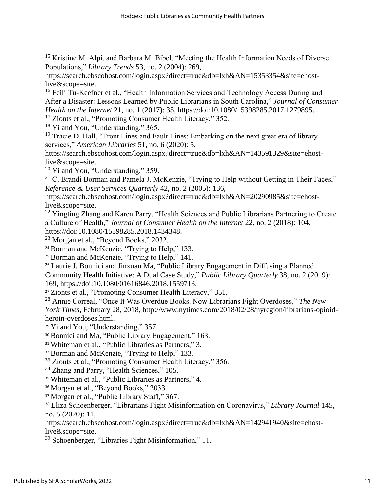<sup>15</sup> Kristine M. Alpi, and Barbara M. Bibel, "Meeting the Health Information Needs of Diverse Populations," *Library Trends* 53, no. 2 (2004): 269,

https://search.ebscohost.com/login.aspx?direct=true&db=lxh&AN=15353354&site=ehostlive&scope=site.

<sup>16</sup> Feili Tu-Keefner et al., "Health Information Services and Technology Access During and After a Disaster: Lessons Learned by Public Librarians in South Carolina," *Journal of Consumer Health on the Internet* 21, no. 1 (2017): 35, https://doi:10.1080/15398285.2017.1279895.

<sup>17</sup> Zionts et al., "Promoting Consumer Health Literacy," 352.

<sup>18</sup> Yi and You, "Understanding," 365.

<sup>19</sup> Tracie D. Hall, "Front Lines and Fault Lines: Embarking on the next great era of library services," *American Libraries* 51, no. 6 (2020): 5,

https://search.ebscohost.com/login.aspx?direct=true&db=lxh&AN=143591329&site=ehostlive&scope=site.

 $20$  Yi and You, "Understanding," 359.

<sup>21</sup> C. Brandi Borman and Pamela J. McKenzie, "Trying to Help without Getting in Their Faces," *Reference & User Services Quarterly* 42, no. 2 (2005): 136,

https://search.ebscohost.com/login.aspx?direct=true&db=lxh&AN=20290985&site=ehostlive&scope=site.

<sup>22</sup> Yingting Zhang and Karen Parry, "Health Sciences and Public Librarians Partnering to Create a Culture of Health," *Journal of Consumer Health on the Internet* 22, no. 2 (2018): 104, https://doi:10.1080/15398285.2018.1434348.

<sup>23</sup> Morgan et al., "Beyond Books," 2032.

<sup>24</sup> Borman and McKenzie, "Trying to Help," 133.

<sup>25</sup> Borman and McKenzie, "Trying to Help," 141.

<sup>26</sup> Laurie J. Bonnici and Jinxuan Ma, "Public Library Engagement in Diffusing a Planned Community Health Initiative: A Dual Case Study," *Public Library Quarterly* 38, no. 2 (2019): 169, https://doi:10.1080/01616846.2018.1559713.

<sup>27</sup> Zionts et al., "Promoting Consumer Health Literacy," 351.

<sup>28</sup> Annie Correal, "Once It Was Overdue Books. Now Librarians Fight Overdoses," *The New York Times*, February 28, 2018, [http://www.nytimes.com/2018/02/28/nyregion/librarians-opioid](http://www.nytimes.com/2018/02/28/nyregion/librarians-opioid-heroin-overdoses.html)[heroin-overdoses.html.](http://www.nytimes.com/2018/02/28/nyregion/librarians-opioid-heroin-overdoses.html)

<sup>29</sup> Yi and You, "Understanding," 357.

<sup>30</sup> Bonnici and Ma, "Public Library Engagement," 163.

<sup>31</sup> Whiteman et al., "Public Libraries as Partners," 3.

<sup>32</sup> Borman and McKenzie, "Trying to Help," 133.

<sup>33</sup> Zionts et al., "Promoting Consumer Health Literacy," 356.

<sup>34</sup> Zhang and Parry, "Health Sciences," 105.

<sup>35</sup> Whiteman et al., "Public Libraries as Partners," 4.

<sup>36</sup> Morgan et al., "Beyond Books," 2033.

<sup>37</sup> Morgan et al., "Public Library Staff," 367.

<sup>38</sup> Eliza Schoenberger, "Librarians Fight Misinformation on Coronavirus," *Library Journal* 145, no. 5 (2020): 11,

https://search.ebscohost.com/login.aspx?direct=true&db=lxh&AN=142941940&site=ehostlive&scope=site.

<sup>39</sup> Schoenberger, "Libraries Fight Misinformation," 11.